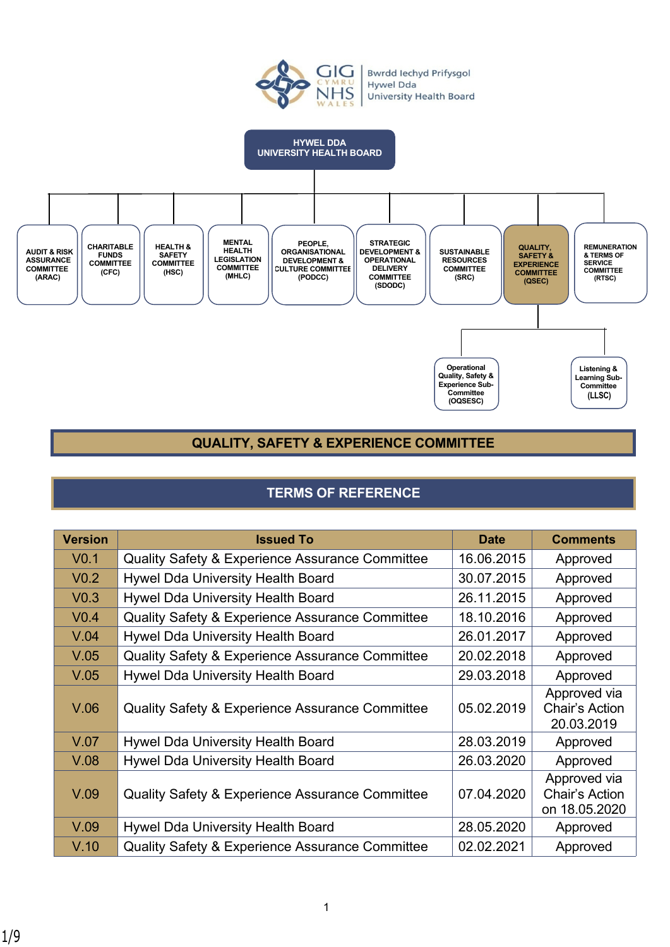

# **QUALITY, SAFETY & EXPERIENCE COMMITTEE**

# **TERMS OF REFERENCE**

| <b>Version</b>   | <b>Issued To</b>                                           | <b>Date</b> | <b>Comments</b>                                 |
|------------------|------------------------------------------------------------|-------------|-------------------------------------------------|
| V <sub>0.1</sub> | <b>Quality Safety &amp; Experience Assurance Committee</b> | 16.06.2015  | Approved                                        |
| V <sub>0.2</sub> | Hywel Dda University Health Board                          | 30.07.2015  | Approved                                        |
| V <sub>0.3</sub> | Hywel Dda University Health Board                          | 26.11.2015  | Approved                                        |
| V <sub>0.4</sub> | Quality Safety & Experience Assurance Committee            | 18.10.2016  | Approved                                        |
| V.04             | Hywel Dda University Health Board                          | 26.01.2017  | Approved                                        |
| V.05             | <b>Quality Safety &amp; Experience Assurance Committee</b> | 20.02.2018  | Approved                                        |
| V.05             | Hywel Dda University Health Board                          | 29.03.2018  | Approved                                        |
| V.06             | <b>Quality Safety &amp; Experience Assurance Committee</b> | 05.02.2019  | Approved via<br>Chair's Action<br>20.03.2019    |
| V.07             | Hywel Dda University Health Board                          | 28.03.2019  | Approved                                        |
| V.08             | Hywel Dda University Health Board                          | 26.03.2020  | Approved                                        |
| V.09             | Quality Safety & Experience Assurance Committee            | 07.04.2020  | Approved via<br>Chair's Action<br>on 18.05.2020 |
| V.09             | Hywel Dda University Health Board                          | 28.05.2020  | Approved                                        |
| V.10             | <b>Quality Safety &amp; Experience Assurance Committee</b> | 02.02.2021  | Approved                                        |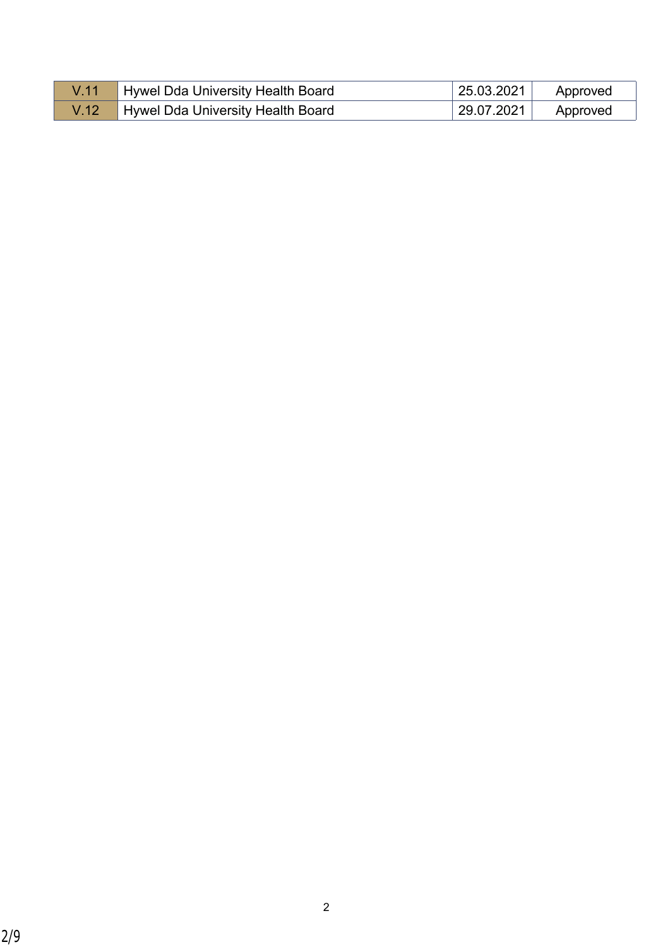| Hywel Dda University Health Board | 25.03.2021 | Approved |
|-----------------------------------|------------|----------|
| Hywel Dda University Health Board | 29.07.2021 | Approved |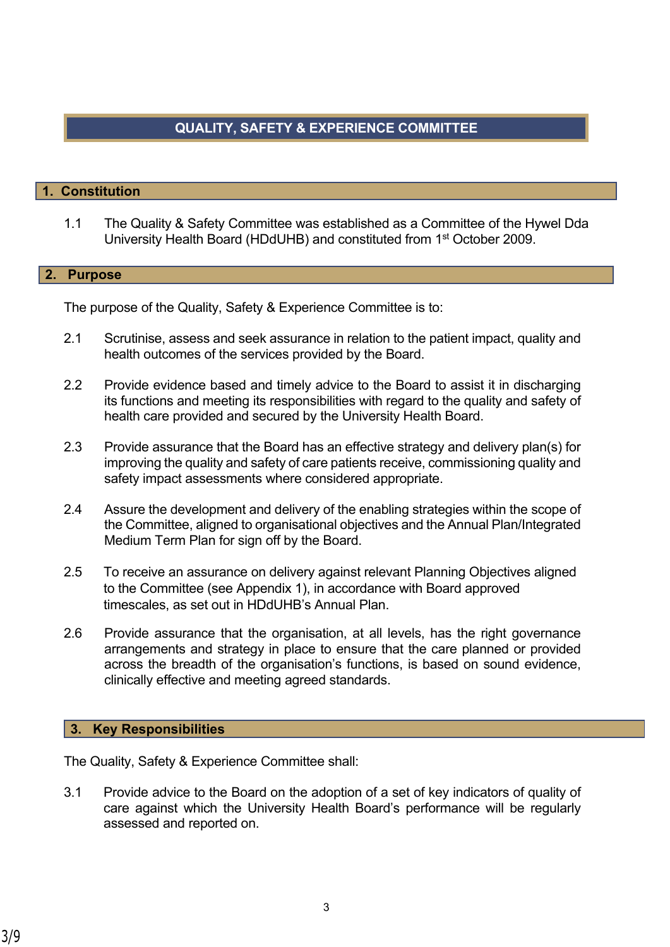# **QUALITY, SAFETY & EXPERIENCE COMMITTEE**

## **1. Constitution**

1.1 The Quality & Safety Committee was established as a Committee of the Hywel Dda University Health Board (HDdUHB) and constituted from 1st October 2009.

#### **2. Purpose**

The purpose of the Quality, Safety & Experience Committee is to:

- 2.1 Scrutinise, assess and seek assurance in relation to the patient impact, quality and health outcomes of the services provided by the Board.
- 2.2 Provide evidence based and timely advice to the Board to assist it in discharging its functions and meeting its responsibilities with regard to the quality and safety of health care provided and secured by the University Health Board.
- 2.3 Provide assurance that the Board has an effective strategy and delivery plan(s) for improving the quality and safety of care patients receive, commissioning quality and safety impact assessments where considered appropriate.
- 2.4 Assure the development and delivery of the enabling strategies within the scope of the Committee, aligned to organisational objectives and the Annual Plan/Integrated Medium Term Plan for sign off by the Board.
- 2.5 To receive an assurance on delivery against relevant Planning Objectives aligned to the Committee (see Appendix 1), in accordance with Board approved timescales, as set out in HDdUHB's Annual Plan.
- 2.6 Provide assurance that the organisation, at all levels, has the right governance arrangements and strategy in place to ensure that the care planned or provided across the breadth of the organisation's functions, is based on sound evidence, clinically effective and meeting agreed standards.

#### **3. Key Responsibilities**

The Quality, Safety & Experience Committee shall:

3.1 Provide advice to the Board on the adoption of a set of key indicators of quality of care against which the University Health Board's performance will be regularly assessed and reported on.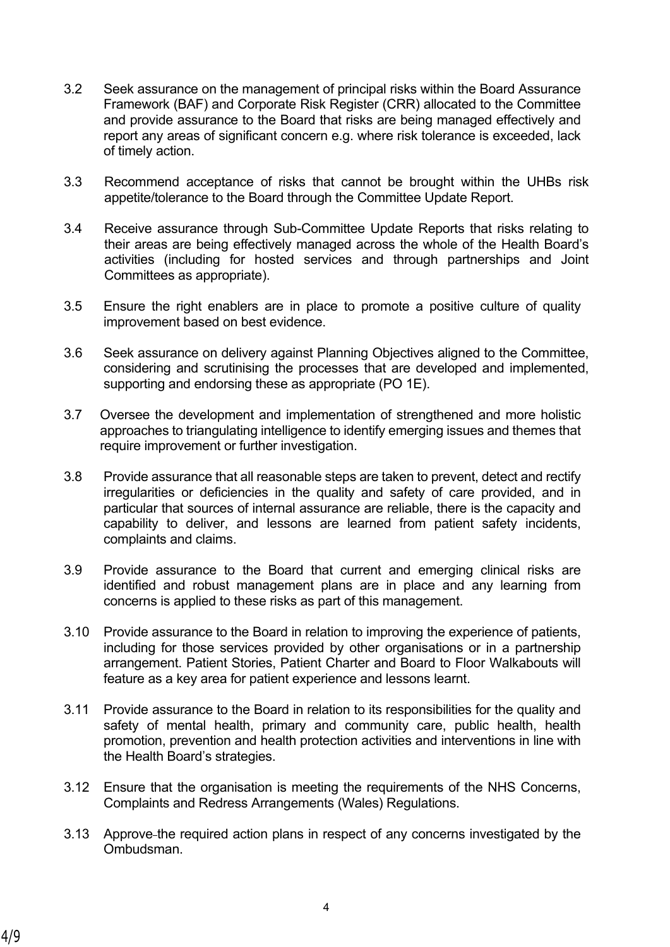- 3.2 Seek assurance on the management of principal risks within the Board Assurance Framework (BAF) and Corporate Risk Register (CRR) allocated to the Committee and provide assurance to the Board that risks are being managed effectively and report any areas of significant concern e.g. where risk tolerance is exceeded, lack of timely action.
- 3.3 Recommend acceptance of risks that cannot be brought within the UHBs risk appetite/tolerance to the Board through the Committee Update Report.
- 3.4 Receive assurance through Sub-Committee Update Reports that risks relating to their areas are being effectively managed across the whole of the Health Board's activities (including for hosted services and through partnerships and Joint Committees as appropriate).
- 3.5 Ensure the right enablers are in place to promote a positive culture of quality improvement based on best evidence.
- 3.6 Seek assurance on delivery against Planning Objectives aligned to the Committee, considering and scrutinising the processes that are developed and implemented, supporting and endorsing these as appropriate (PO 1E).
- 3.7 Oversee the development and implementation of strengthened and more holistic approaches to triangulating intelligence to identify emerging issues and themes that require improvement or further investigation.
- 3.8 Provide assurance that all reasonable steps are taken to prevent, detect and rectify irregularities or deficiencies in the quality and safety of care provided, and in particular that sources of internal assurance are reliable, there is the capacity and capability to deliver, and lessons are learned from patient safety incidents, complaints and claims.
- 3.9 Provide assurance to the Board that current and emerging clinical risks are identified and robust management plans are in place and any learning from concerns is applied to these risks as part of this management.
- 3.10 Provide assurance to the Board in relation to improving the experience of patients, including for those services provided by other organisations or in a partnership arrangement. Patient Stories, Patient Charter and Board to Floor Walkabouts will feature as a key area for patient experience and lessons learnt.
- 3.11 Provide assurance to the Board in relation to its responsibilities for the quality and safety of mental health, primary and community care, public health, health promotion, prevention and health protection activities and interventions in line with the Health Board's strategies.
- 3.12 Ensure that the organisation is meeting the requirements of the NHS Concerns, Complaints and Redress Arrangements (Wales) Regulations.
- 3.13 Approve the required action plans in respect of any concerns investigated by the **Ombudsman**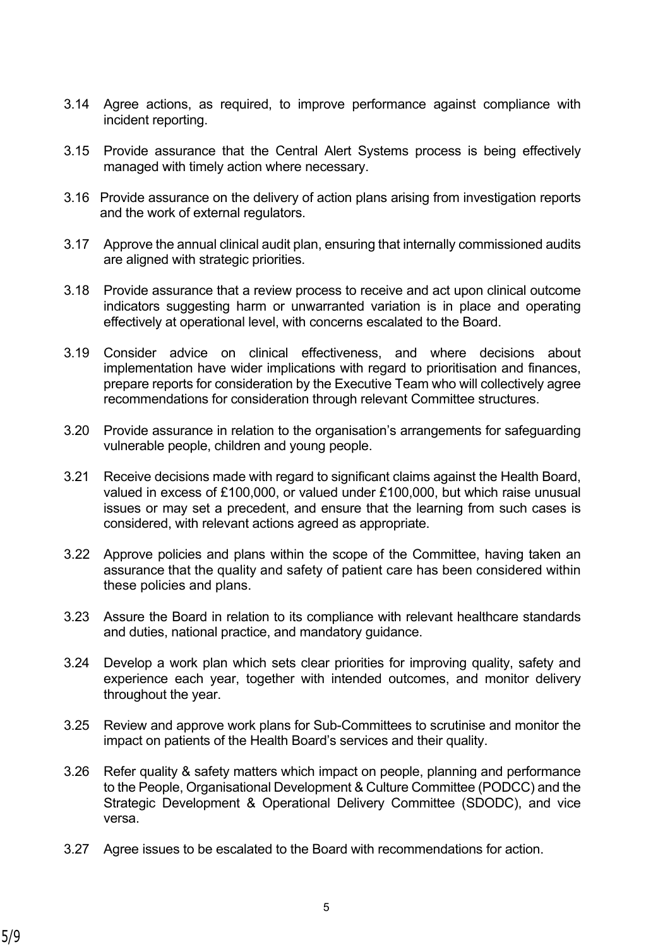- 3.14 Agree actions, as required, to improve performance against compliance with incident reporting.
- 3.15 Provide assurance that the Central Alert Systems process is being effectively managed with timely action where necessary.
- 3.16 Provide assurance on the delivery of action plans arising from investigation reports and the work of external regulators.
- 3.17 Approve the annual clinical audit plan, ensuring that internally commissioned audits are aligned with strategic priorities.
- 3.18 Provide assurance that a review process to receive and act upon clinical outcome indicators suggesting harm or unwarranted variation is in place and operating effectively at operational level, with concerns escalated to the Board.
- 3.19 Consider advice on clinical effectiveness, and where decisions about implementation have wider implications with regard to prioritisation and finances, prepare reports for consideration by the Executive Team who will collectively agree recommendations for consideration through relevant Committee structures.
- 3.20 Provide assurance in relation to the organisation's arrangements for safeguarding vulnerable people, children and young people.
- 3.21 Receive decisions made with regard to significant claims against the Health Board, valued in excess of £100,000, or valued under £100,000, but which raise unusual issues or may set a precedent, and ensure that the learning from such cases is considered, with relevant actions agreed as appropriate.
- 3.22 Approve policies and plans within the scope of the Committee, having taken an assurance that the quality and safety of patient care has been considered within these policies and plans.
- 3.23 Assure the Board in relation to its compliance with relevant healthcare standards and duties, national practice, and mandatory guidance.
- 3.24 Develop a work plan which sets clear priorities for improving quality, safety and experience each year, together with intended outcomes, and monitor delivery throughout the year.
- 3.25 Review and approve work plans for Sub-Committees to scrutinise and monitor the impact on patients of the Health Board's services and their quality.
- 3.26 Refer quality & safety matters which impact on people, planning and performance to the People, Organisational Development & Culture Committee (PODCC) and the Strategic Development & Operational Delivery Committee (SDODC), and vice versa.
- 3.27 Agree issues to be escalated to the Board with recommendations for action.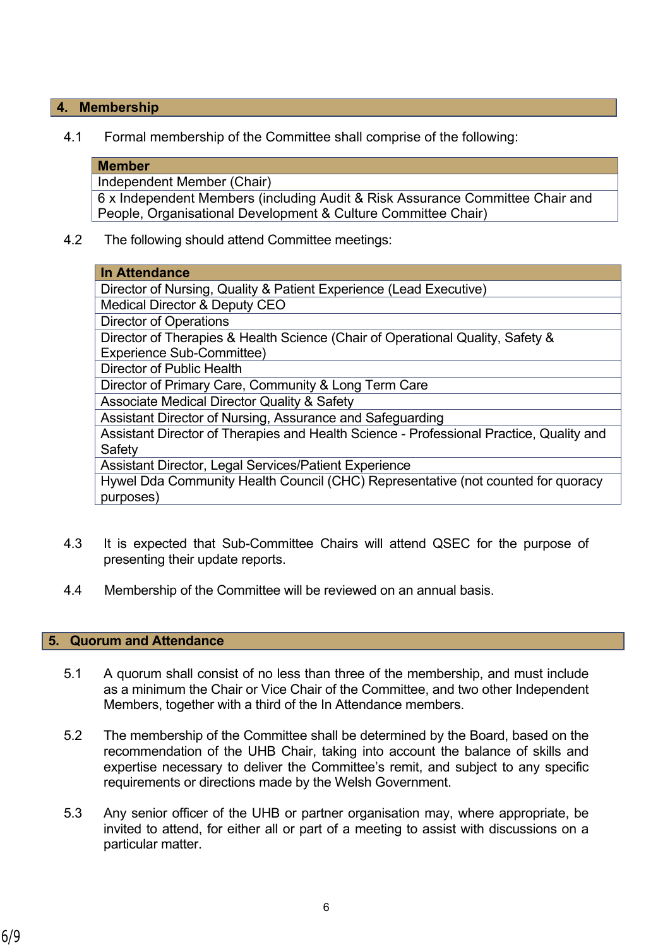## **4. Membership**

4.1 Formal membership of the Committee shall comprise of the following:

#### **Member**

Independent Member (Chair)

6 x Independent Members (including Audit & Risk Assurance Committee Chair and People, Organisational Development & Culture Committee Chair)

4.2 The following should attend Committee meetings:

| <b>In Attendance</b>                                                                    |  |  |
|-----------------------------------------------------------------------------------------|--|--|
| Director of Nursing, Quality & Patient Experience (Lead Executive)                      |  |  |
| <b>Medical Director &amp; Deputy CEO</b>                                                |  |  |
| <b>Director of Operations</b>                                                           |  |  |
| Director of Therapies & Health Science (Chair of Operational Quality, Safety &          |  |  |
| <b>Experience Sub-Committee)</b>                                                        |  |  |
| Director of Public Health                                                               |  |  |
| Director of Primary Care, Community & Long Term Care                                    |  |  |
| <b>Associate Medical Director Quality &amp; Safety</b>                                  |  |  |
| Assistant Director of Nursing, Assurance and Safeguarding                               |  |  |
| Assistant Director of Therapies and Health Science - Professional Practice, Quality and |  |  |
| Safety                                                                                  |  |  |
| Assistant Director, Legal Services/Patient Experience                                   |  |  |
| Hywel Dda Community Health Council (CHC) Representative (not counted for quoracy        |  |  |
| purposes)                                                                               |  |  |

- 4.3 It is expected that Sub-Committee Chairs will attend QSEC for the purpose of presenting their update reports.
- 4.4 Membership of the Committee will be reviewed on an annual basis.

### **5. Quorum and Attendance**

- 5.1 A quorum shall consist of no less than three of the membership, and must include as a minimum the Chair or Vice Chair of the Committee, and two other Independent Members, together with a third of the In Attendance members.
- 5.2 The membership of the Committee shall be determined by the Board, based on the recommendation of the UHB Chair, taking into account the balance of skills and expertise necessary to deliver the Committee's remit, and subject to any specific requirements or directions made by the Welsh Government.
- 5.3 Any senior officer of the UHB or partner organisation may, where appropriate, be invited to attend, for either all or part of a meeting to assist with discussions on a particular matter.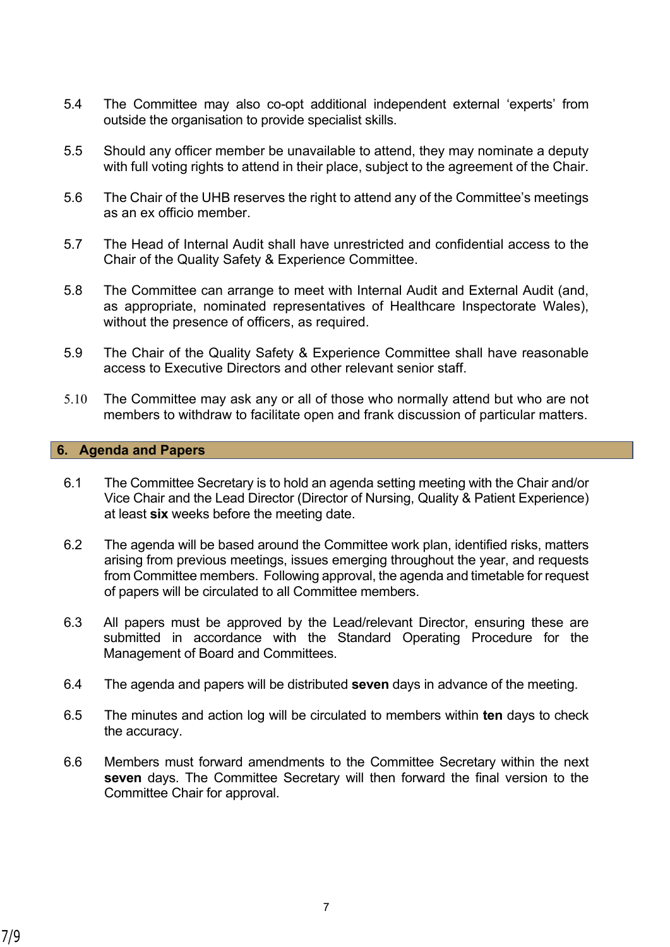- 5.4 The Committee may also co-opt additional independent external 'experts' from outside the organisation to provide specialist skills.
- 5.5 Should any officer member be unavailable to attend, they may nominate a deputy with full voting rights to attend in their place, subject to the agreement of the Chair.
- 5.6 The Chair of the UHB reserves the right to attend any of the Committee's meetings as an ex officio member.
- 5.7 The Head of Internal Audit shall have unrestricted and confidential access to the Chair of the Quality Safety & Experience Committee.
- 5.8 The Committee can arrange to meet with Internal Audit and External Audit (and, as appropriate, nominated representatives of Healthcare Inspectorate Wales), without the presence of officers, as required.
- 5.9 The Chair of the Quality Safety & Experience Committee shall have reasonable access to Executive Directors and other relevant senior staff.
- 5.10 The Committee may ask any or all of those who normally attend but who are not members to withdraw to facilitate open and frank discussion of particular matters.

## **6. Agenda and Papers**

- 6.1 The Committee Secretary is to hold an agenda setting meeting with the Chair and/or Vice Chair and the Lead Director (Director of Nursing, Quality & Patient Experience) at least **six** weeks before the meeting date.
- 6.2 The agenda will be based around the Committee work plan, identified risks, matters arising from previous meetings, issues emerging throughout the year, and requests from Committee members. Following approval, the agenda and timetable for request of papers will be circulated to all Committee members.
- 6.3 All papers must be approved by the Lead/relevant Director, ensuring these are submitted in accordance with the Standard Operating Procedure for the Management of Board and Committees.
- 6.4 The agenda and papers will be distributed **seven** days in advance of the meeting.
- 6.5 The minutes and action log will be circulated to members within **ten** days to check the accuracy.
- 6.6 Members must forward amendments to the Committee Secretary within the next **seven** days. The Committee Secretary will then forward the final version to the Committee Chair for approval.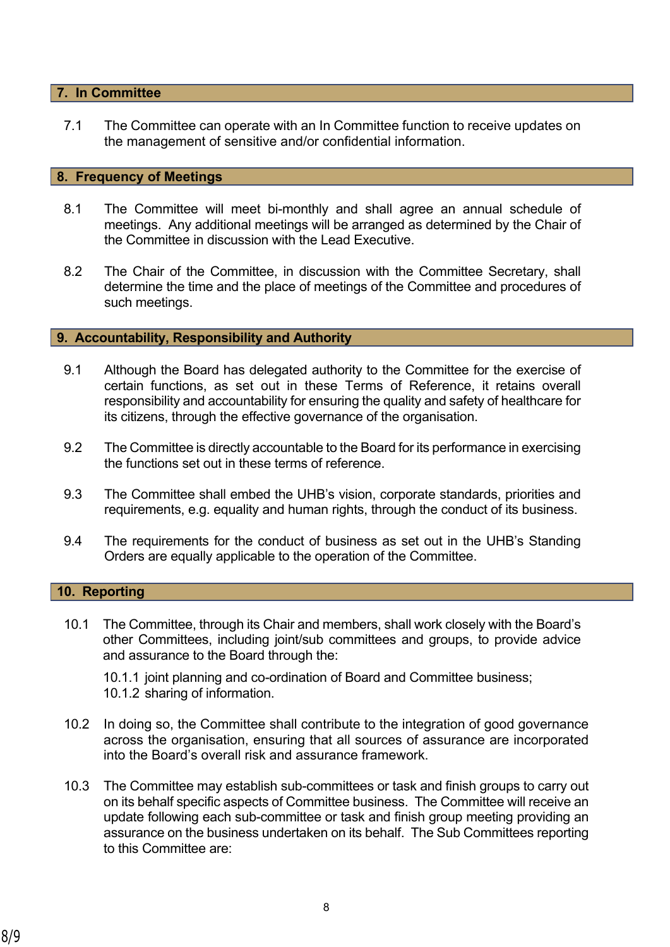### **7. In Committee**

7.1 The Committee can operate with an In Committee function to receive updates on the management of sensitive and/or confidential information.

#### **8. Frequency of Meetings**

- 8.1 The Committee will meet bi-monthly and shall agree an annual schedule of meetings. Any additional meetings will be arranged as determined by the Chair of the Committee in discussion with the Lead Executive.
- 8.2 The Chair of the Committee, in discussion with the Committee Secretary, shall determine the time and the place of meetings of the Committee and procedures of such meetings.

## **9. Accountability, Responsibility and Authority**

- 9.1 Although the Board has delegated authority to the Committee for the exercise of certain functions, as set out in these Terms of Reference, it retains overall responsibility and accountability for ensuring the quality and safety of healthcare for its citizens, through the effective governance of the organisation.
- 9.2 The Committee is directly accountable to the Board for its performance in exercising the functions set out in these terms of reference.
- 9.3 The Committee shall embed the UHB's vision, corporate standards, priorities and requirements, e.g. equality and human rights, through the conduct of its business.
- 9.4 The requirements for the conduct of business as set out in the UHB's Standing Orders are equally applicable to the operation of the Committee.

## **10. Reporting**

10.1 The Committee, through its Chair and members, shall work closely with the Board's other Committees, including joint/sub committees and groups, to provide advice and assurance to the Board through the:

10.1.1 joint planning and co-ordination of Board and Committee business; 10.1.2 sharing of information.

- 10.2 In doing so, the Committee shall contribute to the integration of good governance across the organisation, ensuring that all sources of assurance are incorporated into the Board's overall risk and assurance framework.
- 10.3 The Committee may establish sub-committees or task and finish groups to carry out on its behalf specific aspects of Committee business. The Committee will receive an update following each sub-committee or task and finish group meeting providing an assurance on the business undertaken on its behalf. The Sub Committees reporting to this Committee are: